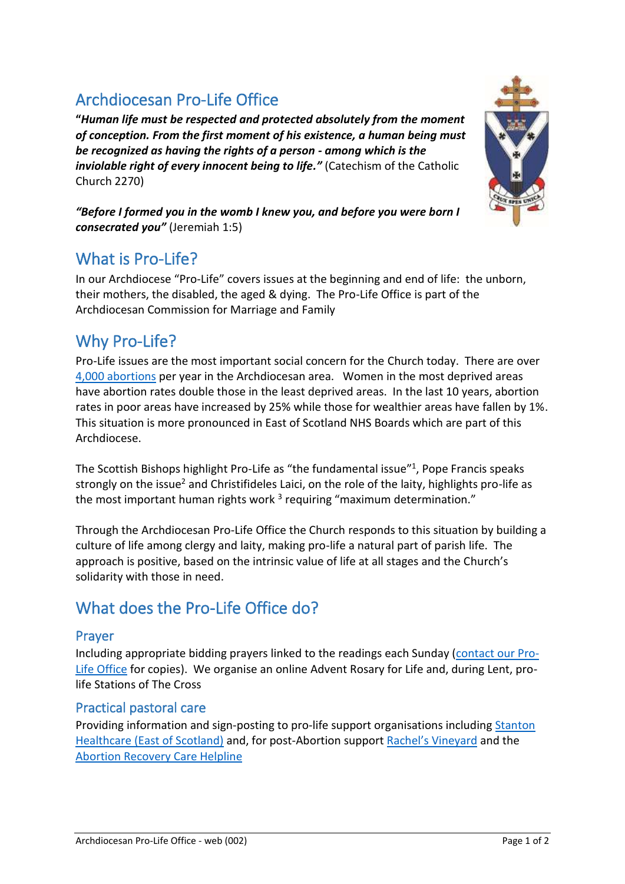# Archdiocesan Pro-Life Office

**"***Human life must be respected and protected absolutely from the moment of conception. From the first moment of his existence, a human being must be recognized as having the rights of a person - among which is the inviolable right of every innocent being to life."* (Catechism of the Catholic Church 2270)

*"Before I formed you in the womb I knew you, and before you were born I consecrated you"* (Jeremiah 1:5)

## What is Pro-Life?

In our Archdiocese "Pro-Life" covers issues at the beginning and end of life: the unborn, their mothers, the disabled, the aged & dying. The Pro-Life Office is part of the Archdiocesan Commission for Marriage and Family

## Why Pro-Life?

Pro-Life issues are the most important social concern for the Church today. There are over [4,000 abortions](https://beta.isdscotland.org/find-publications-and-data/population-health/sexual-health/) per year in the Archdiocesan area. Women in the most deprived areas have abortion rates double those in the least deprived areas. In the last 10 years, abortion rates in poor areas have increased by 25% while those for wealthier areas have fallen by 1%. This situation is more pronounced in East of Scotland NHS Boards which are part of this Archdiocese.

The Scottish Bishops highlight Pro-Life as "[the fundamental issue](http://www.catholicherald.co.uk/news/2015/04/10/sanctity-of-life-is-top-issue-facing-voters-say-scottish-bishops/)"<sup>1</sup>, Pope Francis speaks strongly on the issue<sup>2</sup> and Christifideles Laici, on the role of the laity, highlights pro-life as the most important human rights work<sup>3</sup> requiring "maximum determination."

Through the Archdiocesan Pro-Life Office the Church responds to this situation by building a culture of life among clergy and laity, making pro-life a natural part of parish life. The approach is positive, based on the intrinsic value of life at all stages and the Church's solidarity with those in need.

# What does the Pro-Life Office do?

#### Prayer

Including appropriate bidding prayers linked to the readings each Sunday [\(contact our Pro-](#page-1-0)[Life Office](#page-1-0) for copies). We organise an online Advent Rosary for Life and, during Lent, prolife Stations of The Cross

#### Practical pastoral care

Providing information and sign-posting to pro-life support organisations including [Stanton](https://www.stantonscotland.org/)  [Healthcare \(East of Scotland\)](https://www.stantonscotland.org/) and, for post-Abortion support [Rachel's Vineyard](https://www.rachelsvineyard.org.uk/home) and the [Abortion Recovery Care Helpline](https://www.archtrust.org.uk/)